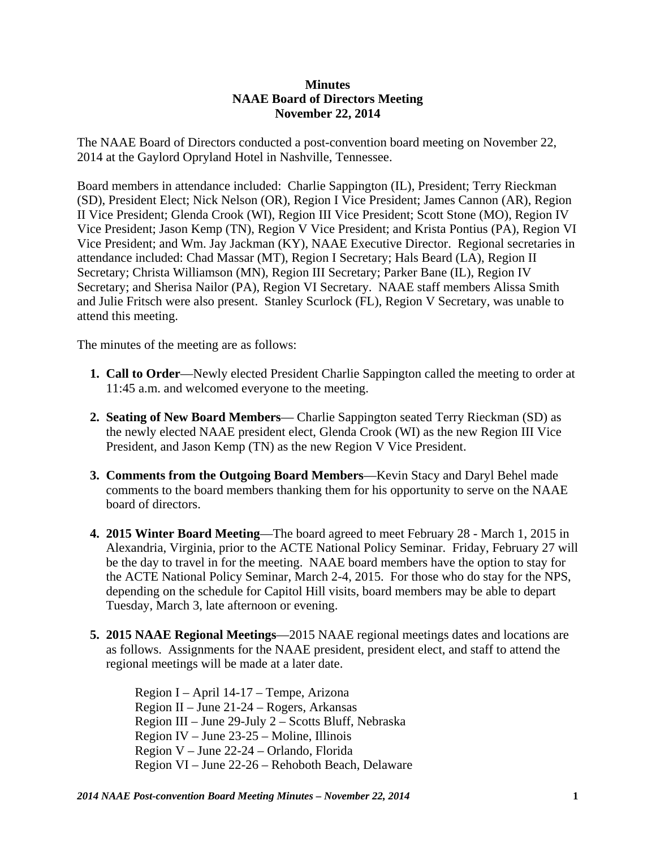## **Minutes NAAE Board of Directors Meeting November 22, 2014**

The NAAE Board of Directors conducted a post-convention board meeting on November 22, 2014 at the Gaylord Opryland Hotel in Nashville, Tennessee.

Board members in attendance included: Charlie Sappington (IL), President; Terry Rieckman (SD), President Elect; Nick Nelson (OR), Region I Vice President; James Cannon (AR), Region II Vice President; Glenda Crook (WI), Region III Vice President; Scott Stone (MO), Region IV Vice President; Jason Kemp (TN), Region V Vice President; and Krista Pontius (PA), Region VI Vice President; and Wm. Jay Jackman (KY), NAAE Executive Director. Regional secretaries in attendance included: Chad Massar (MT), Region I Secretary; Hals Beard (LA), Region II Secretary; Christa Williamson (MN), Region III Secretary; Parker Bane (IL), Region IV Secretary; and Sherisa Nailor (PA), Region VI Secretary. NAAE staff members Alissa Smith and Julie Fritsch were also present. Stanley Scurlock (FL), Region V Secretary, was unable to attend this meeting.

The minutes of the meeting are as follows:

- **1. Call to Order**—Newly elected President Charlie Sappington called the meeting to order at 11:45 a.m. and welcomed everyone to the meeting.
- **2. Seating of New Board Members** Charlie Sappington seated Terry Rieckman (SD) as the newly elected NAAE president elect, Glenda Crook (WI) as the new Region III Vice President, and Jason Kemp (TN) as the new Region V Vice President.
- **3. Comments from the Outgoing Board Members**—Kevin Stacy and Daryl Behel made comments to the board members thanking them for his opportunity to serve on the NAAE board of directors.
- **4. 2015 Winter Board Meeting**—The board agreed to meet February 28 March 1, 2015 in Alexandria, Virginia, prior to the ACTE National Policy Seminar. Friday, February 27 will be the day to travel in for the meeting. NAAE board members have the option to stay for the ACTE National Policy Seminar, March 2-4, 2015. For those who do stay for the NPS, depending on the schedule for Capitol Hill visits, board members may be able to depart Tuesday, March 3, late afternoon or evening.
- **5. 2015 NAAE Regional Meetings**—2015 NAAE regional meetings dates and locations are as follows. Assignments for the NAAE president, president elect, and staff to attend the regional meetings will be made at a later date.

Region I – April 14-17 – Tempe, Arizona Region II – June 21-24 – Rogers, Arkansas Region III – June 29-July 2 – Scotts Bluff, Nebraska Region IV – June 23-25 – Moline, Illinois Region V – June 22-24 – Orlando, Florida Region VI – June 22-26 – Rehoboth Beach, Delaware